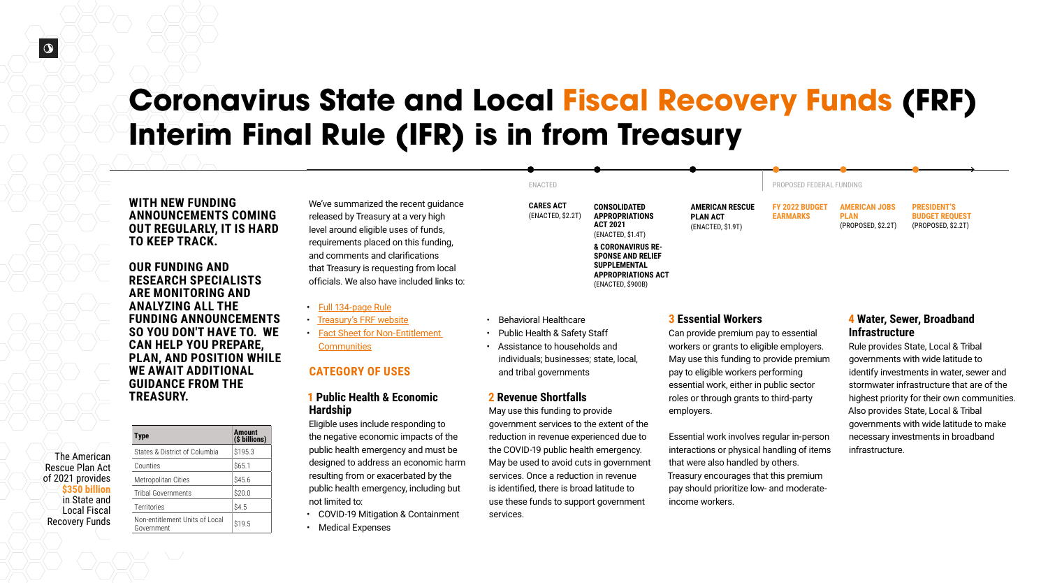# **Coronavirus State and Local Fiscal Recovery Funds (FRF) Interim Final Rule (IFR) is in from Treasury**

- Full [134-page Rule](https://public-inspection.federalregister.gov/2021-10283.pdf)
- [Treasury's FRF website](https://home.treasury.gov/policy-issues/coronavirus/assistance-for-state-local-and-tribal-governments/state-and-local-fiscal-recovery-funds)
- [Fact Sheet for Non-Entitlement](https://home.treasury.gov/system/files/136/NEU_Guidance.pdf)  **[Communities](https://home.treasury.gov/system/files/136/NEU_Guidance.pdf)**

We've summarized the recent guidance released by Treasury at a very high level around eligible uses of funds, requirements placed on this funding, and comments and clarifications that Treasury is requesting from local officials. We also have included links to:

### **CATEGORY OF USES**

#### **1 Public Health & Economic Hardship**

Eligible uses include responding to the negative economic impacts of the public health emergency and must be designed to address an economic harm resulting from or exacerbated by the public health emergency, including but not limited to:

- COVID-19 Mitigation & Containment
- Medical Expenses

- Behavioral Healthcare
- Public Health & Safety Staff
- Assistance to households and individuals; businesses; state, local, and tribal governments

#### **2 Revenue Shortfalls**

May use this funding to provide government services to the extent of the reduction in revenue experienced due to the COVID-19 public health emergency. May be used to avoid cuts in government services. Once a reduction in revenue is identified, there is broad latitude to use these funds to support government services.

#### **WITH NEW FUNDING ANNOUNCEMENTS COMING OUT REGULARLY, IT IS HARD TO KEEP TRACK.**

**OUR FUNDING AND RESEARCH SPECIALISTS ARE MONITORING AND ANALYZING ALL THE FUNDING ANNOUNCEMENTS SO YOU DON'T HAVE TO. WE CAN HELP YOU PREPARE, PLAN, AND POSITION WHILE WE AWAIT ADDITIONAL GUIDANCE FROM THE TREASURY.**

#### **3 Essential Workers**

Can provide premium pay to essential workers or grants to eligible employers. May use this funding to provide premium pay to eligible workers performing essential work, either in public sector roles or through grants to third-party employers.

Essential work involves regular in-person interactions or physical handling of items that were also handled by others. Treasury encourages that this premium pay should prioritize low- and moderateincome workers.

**CARES ACT**  (ENACTED, \$2.2T)

**CONSOLIDATED APPROPRIATIONS ACT 2021** (ENACTED, \$1.4T)

**& CORONAVIRUS RE-SPONSE AND RELIEF SUPPLEMENTAL APPROPRIATIONS ACT**  (ENACTED, \$900B)

**FY 2022 BUDGET EARMARKS**

**AMERICAN JOBS PLAN** (PROPOSED, \$2.2T)

**PRESIDENT'S BUDGET REQUEST**  (PROPOSED, \$2.2T)

**AMERICAN RESCUE PLAN ACT** (ENACTED, \$1.9T)

ENACTED PROPOSED FEDERAL FUNDING

#### **4 Water, Sewer, Broadband Infrastructure**

Rule provides State, Local & Tribal governments with wide latitude to identify investments in water, sewer and stormwater infrastructure that are of the highest priority for their own communities. Also provides State, Local & Tribal governments with wide latitude to make necessary investments in broadband infrastructure.

| <b>Type</b>                                  | <b>Amount</b><br>(\$ billions) |
|----------------------------------------------|--------------------------------|
| States & District of Columbia                | \$195.3                        |
| Counties                                     | \$65.1                         |
| Metropolitan Cities                          | \$45.6                         |
| <b>Tribal Governments</b>                    | \$20.0                         |
| Territories                                  | \$4.5                          |
| Non-entitlement Units of Local<br>Government | \$19.5                         |

| <b>The American</b>    |  |
|------------------------|--|
| <b>Rescue Plan Act</b> |  |
| of 2021 provides       |  |
| \$350 billion          |  |
| in State and           |  |
| Local Fiscal           |  |
| <b>Recovery Funds</b>  |  |
|                        |  |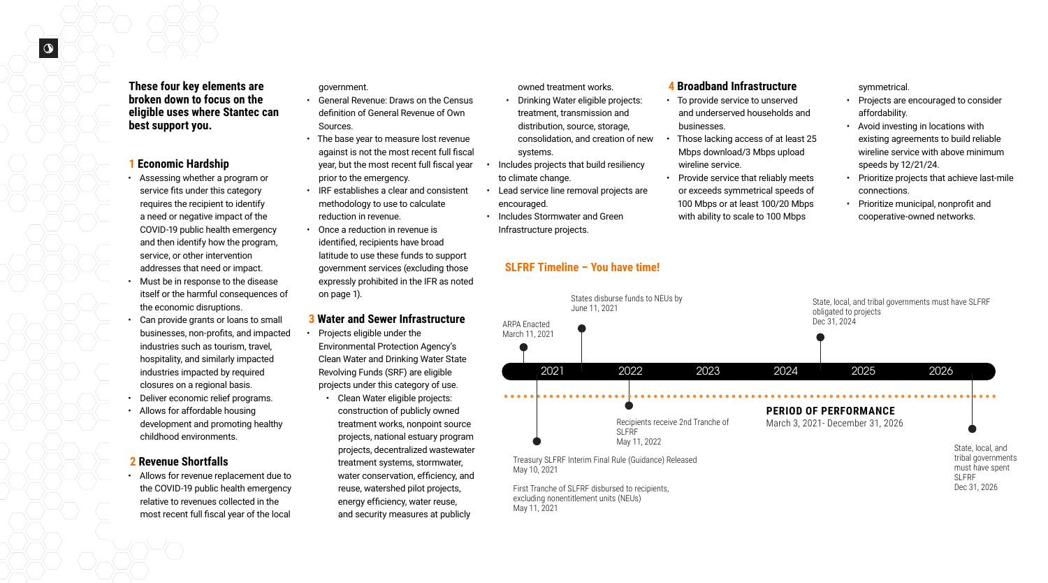#### **1 Economic Hardship**

- Assessing whether a program or service fits under this category requires the recipient to identify a need or negative impact of the COVID-19 public health emergency and then identify how the program, service, or other intervention addresses that need or impact.
- Must be in response to the disease itself or the harmful consequences of the economic disruptions.
- Can provide grants or loans to small businesses, non-profits, and impacted industries such as tourism, travel, hospitality, and similarly impacted industries impacted by required closures on a regional basis.
- Deliver economic relief programs.
- Allows for affordable housing development and promoting healthy childhood environments.

### **2 Revenue Shortfalls**

• Allows for revenue replacement due to the COVID-19 public health emergency relative to revenues collected in the most recent full fiscal year of the local

government.

- General Revenue: Draws on the Census definition of General Revenue of Own Sources.
- The base year to measure lost revenue against is not the most recent full fiscal year, but the most recent full fiscal year prior to the emergency.
- IRF establishes a clear and consistent methodology to use to calculate reduction in revenue.
- Once a reduction in revenue is identified, recipients have broad latitude to use these funds to support government services (excluding those expressly prohibited in the IFR as noted on page 1).

### **3 Water and Sewer Infrastructure**

- Projects eligible under the Environmental Protection Agency's Clean Water and Drinking Water State Revolving Funds (SRF) are eligible projects under this category of use.
	- Clean Water eligible projects: construction of publicly owned treatment works, nonpoint source projects, national estuary program projects, decentralized wastewater treatment systems, stormwater, water conservation, efficiency, and reuse, watershed pilot projects, energy efficiency, water reuse, and security measures at publicly

**These four key elements are broken down to focus on the eligible uses where Stantec can best support you.** 

owned treatment works.

- Drinking Water eligible projects: treatment, transmission and distribution, source, storage, consolidation, and creation of new systems.
- Includes projects that build resiliency to climate change.
- Lead service line removal projects are encouraged.

• Includes Stormwater and Green Infrastructure projects.

#### **4 Broadband Infrastructure**

- To provide service to unserved and underserved households and businesses.
- Those lacking access of at least 25 Mbps download/3 Mbps upload wireline service.
- Provide service that reliably meets or exceeds symmetrical speeds of 100 Mbps or at least 100/20 Mbps with ability to scale to 100 Mbps

Treasury SLFRF Interim Final Rule (Guidance) Released May 10, 2021



First Tranche of SLFRF disbursed to recipients, excluding nonentitlement units (NEUs) May 11, 2021

State, local, and

tribal governments must have spent SLFRF Dec 31, 2026



**SLFRF Timeline – You have time!**

symmetrical.

- Projects are encouraged to consider affordability.
- Avoid investing in locations with existing agreements to build reliable wireline service with above minimum speeds by 12/21/24.
- Prioritize projects that achieve last-mile connections.
- Prioritize municipal, nonprofit and cooperative-owned networks.